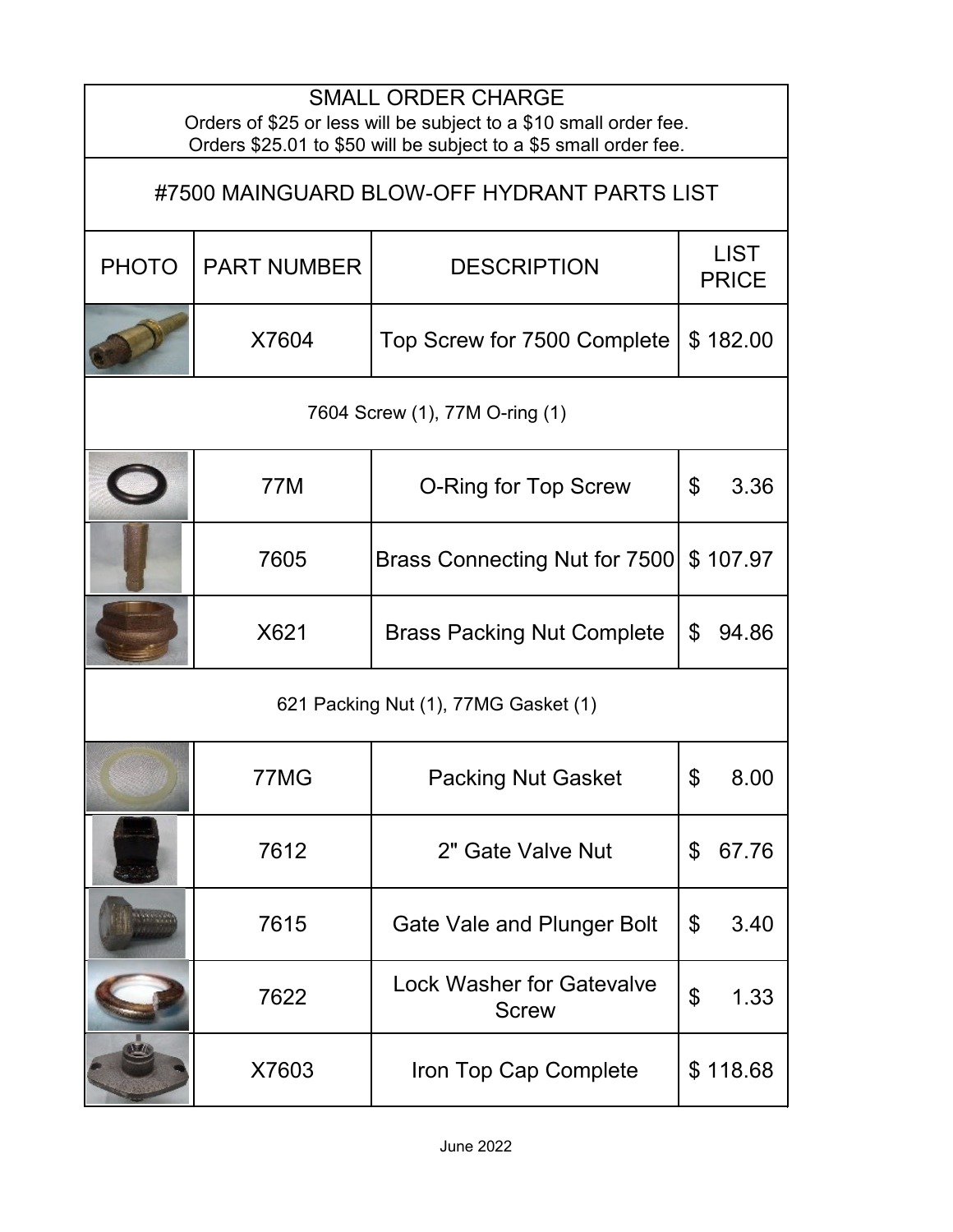| <b>SMALL ORDER CHARGE</b><br>Orders of \$25 or less will be subject to a \$10 small order fee.<br>Orders \$25.01 to \$50 will be subject to a \$5 small order fee. |                    |                                                  |                                   |  |  |  |
|--------------------------------------------------------------------------------------------------------------------------------------------------------------------|--------------------|--------------------------------------------------|-----------------------------------|--|--|--|
| #7500 MAINGUARD BLOW-OFF HYDRANT PARTS LIST                                                                                                                        |                    |                                                  |                                   |  |  |  |
| <b>PHOTO</b>                                                                                                                                                       | <b>PART NUMBER</b> | <b>DESCRIPTION</b>                               | <b>LIST</b><br><b>PRICE</b>       |  |  |  |
|                                                                                                                                                                    | X7604              | Top Screw for 7500 Complete                      | \$182.00                          |  |  |  |
| 7604 Screw (1), 77M O-ring (1)                                                                                                                                     |                    |                                                  |                                   |  |  |  |
|                                                                                                                                                                    | 77M                | <b>O-Ring for Top Screw</b>                      | $\boldsymbol{\mathsf{S}}$<br>3.36 |  |  |  |
|                                                                                                                                                                    | 7605               | Brass Connecting Nut for 7500                    | \$107.97                          |  |  |  |
|                                                                                                                                                                    | X621               | <b>Brass Packing Nut Complete</b>                | \$<br>94.86                       |  |  |  |
| 621 Packing Nut (1), 77MG Gasket (1)                                                                                                                               |                    |                                                  |                                   |  |  |  |
|                                                                                                                                                                    | 77MG               | <b>Packing Nut Gasket</b>                        | \$<br>8.00                        |  |  |  |
|                                                                                                                                                                    | 7612               | 2" Gate Valve Nut                                | \$<br>67.76                       |  |  |  |
|                                                                                                                                                                    | 7615               | Gate Vale and Plunger Bolt                       | \$<br>3.40                        |  |  |  |
|                                                                                                                                                                    | 7622               | <b>Lock Washer for Gatevalve</b><br><b>Screw</b> | $\mathfrak{F}$<br>1.33            |  |  |  |
|                                                                                                                                                                    | X7603              | Iron Top Cap Complete                            | \$118.68                          |  |  |  |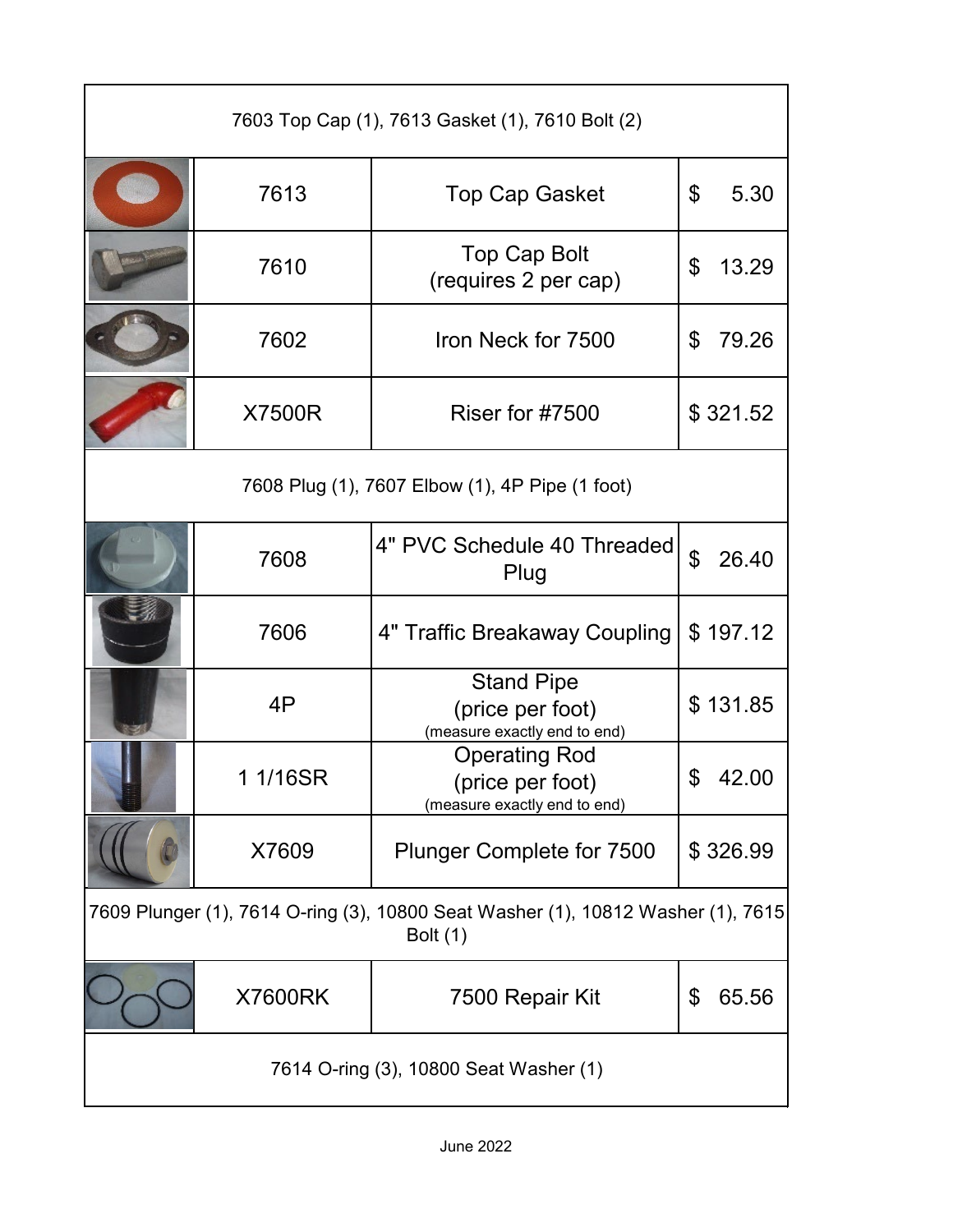| 7603 Top Cap (1), 7613 Gasket (1), 7610 Bolt (2)                                                    |                |                                                                          |                         |  |  |
|-----------------------------------------------------------------------------------------------------|----------------|--------------------------------------------------------------------------|-------------------------|--|--|
|                                                                                                     | 7613           | <b>Top Cap Gasket</b>                                                    | \$<br>5.30              |  |  |
|                                                                                                     | 7610           | <b>Top Cap Bolt</b><br>(requires 2 per cap)                              | \$<br>13.29             |  |  |
|                                                                                                     | 7602           | Iron Neck for 7500                                                       | 79.26<br>\$             |  |  |
|                                                                                                     | X7500R         | Riser for #7500                                                          | \$321.52                |  |  |
| 7608 Plug (1), 7607 Elbow (1), 4P Pipe (1 foot)                                                     |                |                                                                          |                         |  |  |
|                                                                                                     | 7608           | 4" PVC Schedule 40 Threaded<br>Plug                                      | $\mathfrak{L}$<br>26.40 |  |  |
|                                                                                                     | 7606           | 4" Traffic Breakaway Coupling                                            | \$197.12                |  |  |
|                                                                                                     | 4P             | <b>Stand Pipe</b><br>(price per foot)<br>(measure exactly end to end)    | \$131.85                |  |  |
|                                                                                                     | 1 1/16SR       | <b>Operating Rod</b><br>(price per foot)<br>(measure exactly end to end) | \$<br>42.00             |  |  |
|                                                                                                     | X7609          | <b>Plunger Complete for 7500</b>                                         | \$326.99                |  |  |
| 7609 Plunger (1), 7614 O-ring (3), 10800 Seat Washer (1), 10812 Washer (1), 7615<br><b>Bolt (1)</b> |                |                                                                          |                         |  |  |
|                                                                                                     | <b>X7600RK</b> | 7500 Repair Kit                                                          | 65.56<br>\$             |  |  |
| 7614 O-ring (3), 10800 Seat Washer (1)                                                              |                |                                                                          |                         |  |  |